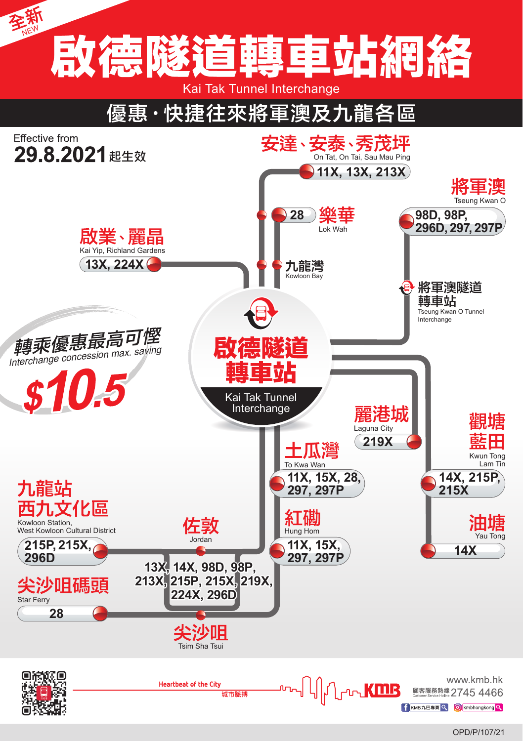

OPD/P/107/21